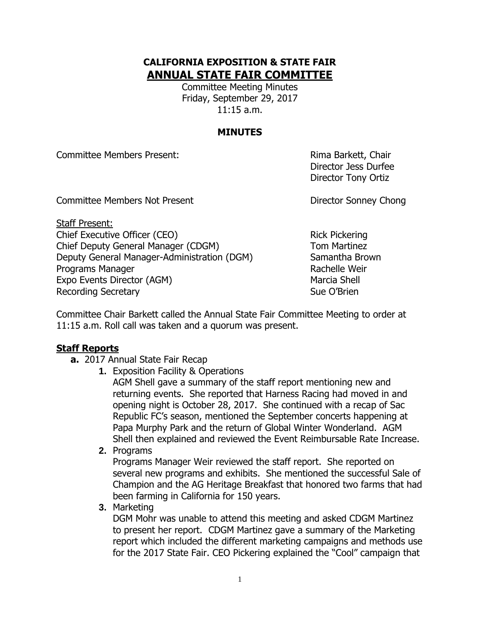# **CALIFORNIA EXPOSITION & STATE FAIR ANNUAL STATE FAIR COMMITTEE**

Committee Meeting Minutes Friday, September 29, 2017 11:15 a.m.

## **MINUTES**

Committee Members Present: Rima Barkett, Chair

Committee Members Not Present **Director Sonney Chong** 

Staff Present: Chief Executive Officer (CEO) Rick Pickering Chief Deputy General Manager (CDGM) Tom Martinez Deputy General Manager-Administration (DGM) Samantha Brown Programs Manager **Rachelle Weir** Rachelle Weir Expo Events Director (AGM) Marcia Shell Recording Secretary **Sue O'Brien** Sue O'Brien

Director Jess Durfee Director Tony Ortiz

Committee Chair Barkett called the Annual State Fair Committee Meeting to order at 11:15 a.m. Roll call was taken and a quorum was present.

# **Staff Reports**

- **a.** 2017 Annual State Fair Recap
	- **1.** Exposition Facility & Operations

AGM Shell gave a summary of the staff report mentioning new and returning events. She reported that Harness Racing had moved in and opening night is October 28, 2017. She continued with a recap of Sac Republic FC's season, mentioned the September concerts happening at Papa Murphy Park and the return of Global Winter Wonderland. AGM Shell then explained and reviewed the Event Reimbursable Rate Increase.

**2.** Programs

Programs Manager Weir reviewed the staff report. She reported on several new programs and exhibits. She mentioned the successful Sale of Champion and the AG Heritage Breakfast that honored two farms that had been farming in California for 150 years.

**3.** Marketing

DGM Mohr was unable to attend this meeting and asked CDGM Martinez to present her report. CDGM Martinez gave a summary of the Marketing report which included the different marketing campaigns and methods use for the 2017 State Fair. CEO Pickering explained the "Cool" campaign that